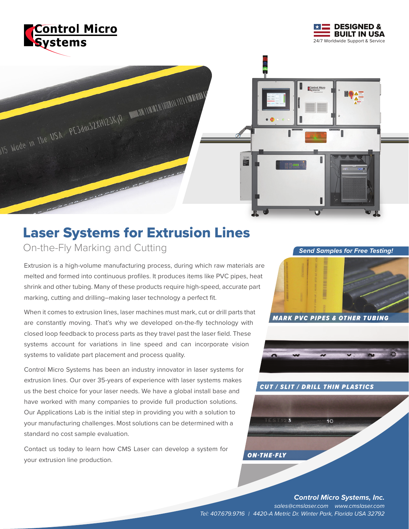





# Laser Systems for Extrusion Lines On-the-Fly Marking and Cutting **Send Samples for Free Testing!**

Extrusion is a high-volume manufacturing process, during which raw materials are melted and formed into continuous profiles. It produces items like PVC pipes, heat shrink and other tubing. Many of these products require high-speed, accurate part marking, cutting and drilling–making laser technology a perfect fit.

When it comes to extrusion lines, laser machines must mark, cut or drill parts that are constantly moving. That's why we developed on-the-fly technology with closed loop feedback to process parts as they travel past the laser field. These systems account for variations in line speed and can incorporate vision systems to validate part placement and process quality.

Control Micro Systems has been an industry innovator in laser systems for extrusion lines. Our over 35-years of experience with laser systems makes us the best choice for your laser needs. We have a global install base and have worked with many companies to provide full production solutions. Our Applications Lab is the initial step in providing you with a solution to your manufacturing challenges. Most solutions can be determined with a standard no cost sample evaluation.

Contact us today to learn how CMS Laser can develop a system for your extrusion line production.





 $10$ 

#### *CUT / SLIT / DRILL THIN PLASTICS*

*Control Micro Systems, Inc. sales@cmslaser.com www.cmslaser.com Tel: 407.679.9716 | 4420-A Metric Dr. Winter Park, Florida USA 32792*

*ON-THE-FLY*

TEST123